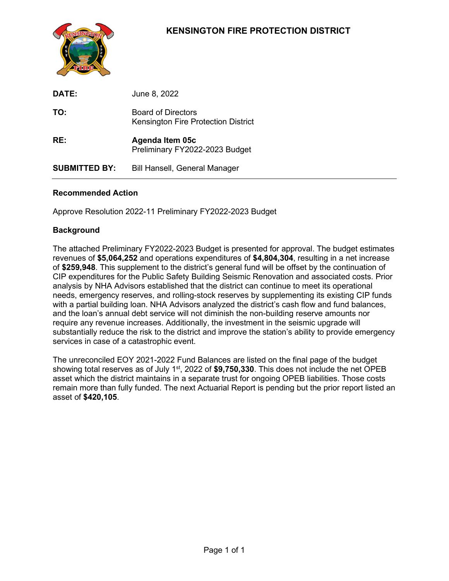## **KENSINGTON FIRE PROTECTION DISTRICT**



| DATE:                | June 8, 2022                                                     |
|----------------------|------------------------------------------------------------------|
| TO:                  | <b>Board of Directors</b><br>Kensington Fire Protection District |
| RE:                  | Agenda Item 05c<br>Preliminary FY2022-2023 Budget                |
| <b>SUBMITTED BY:</b> | <b>Bill Hansell, General Manager</b>                             |

#### **Recommended Action**

Approve Resolution 2022-11 Preliminary FY2022-2023 Budget

#### **Background**

The attached Preliminary FY2022-2023 Budget is presented for approval. The budget estimates revenues of **\$5,064,252** and operations expenditures of **\$4,804,304**, resulting in a net increase of **\$259,948**. This supplement to the district's general fund will be offset by the continuation of CIP expenditures for the Public Safety Building Seismic Renovation and associated costs. Prior analysis by NHA Advisors established that the district can continue to meet its operational needs, emergency reserves, and rolling-stock reserves by supplementing its existing CIP funds with a partial building loan. NHA Advisors analyzed the district's cash flow and fund balances, and the loan's annual debt service will not diminish the non-building reserve amounts nor require any revenue increases. Additionally, the investment in the seismic upgrade will substantially reduce the risk to the district and improve the station's ability to provide emergency services in case of a catastrophic event.

The unreconciled EOY 2021-2022 Fund Balances are listed on the final page of the budget showing total reserves as of July 1st, 2022 of **\$9,750,330**. This does not include the net OPEB asset which the district maintains in a separate trust for ongoing OPEB liabilities. Those costs remain more than fully funded. The next Actuarial Report is pending but the prior report listed an asset of **\$420,105**.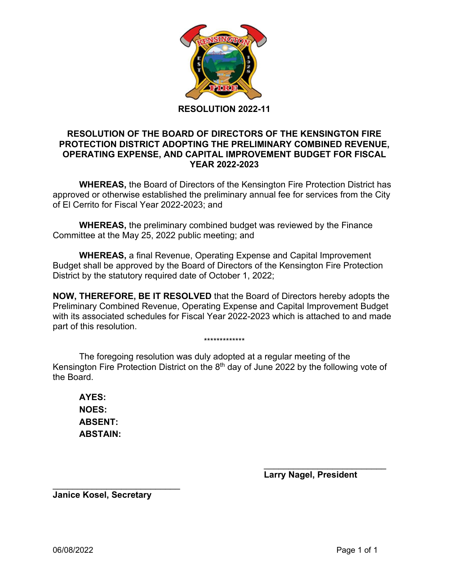

#### **RESOLUTION OF THE BOARD OF DIRECTORS OF THE KENSINGTON FIRE PROTECTION DISTRICT ADOPTING THE PRELIMINARY COMBINED REVENUE, OPERATING EXPENSE, AND CAPITAL IMPROVEMENT BUDGET FOR FISCAL YEAR 2022-2023**

**WHEREAS,** the Board of Directors of the Kensington Fire Protection District has approved or otherwise established the preliminary annual fee for services from the City of El Cerrito for Fiscal Year 2022-2023; and

**WHEREAS,** the preliminary combined budget was reviewed by the Finance Committee at the May 25, 2022 public meeting; and

**WHEREAS,** a final Revenue, Operating Expense and Capital Improvement Budget shall be approved by the Board of Directors of the Kensington Fire Protection District by the statutory required date of October 1, 2022;

**NOW, THEREFORE, BE IT RESOLVED** that the Board of Directors hereby adopts the Preliminary Combined Revenue, Operating Expense and Capital Improvement Budget with its associated schedules for Fiscal Year 2022-2023 which is attached to and made part of this resolution.

\*\*\*\*\*\*\*\*\*\*\*\*\*

The foregoing resolution was duly adopted at a regular meeting of the Kensington Fire Protection District on the 8<sup>th</sup> day of June 2022 by the following vote of the Board.

**AYES: NOES: ABSENT: ABSTAIN:**

> \_\_\_\_\_\_\_\_\_\_\_\_\_\_\_\_\_\_\_\_\_\_\_\_\_ **Larry Nagel, President**

\_\_\_\_\_\_\_\_\_\_\_\_\_\_\_\_\_\_\_\_\_\_\_\_\_\_ **Janice Kosel, Secretary**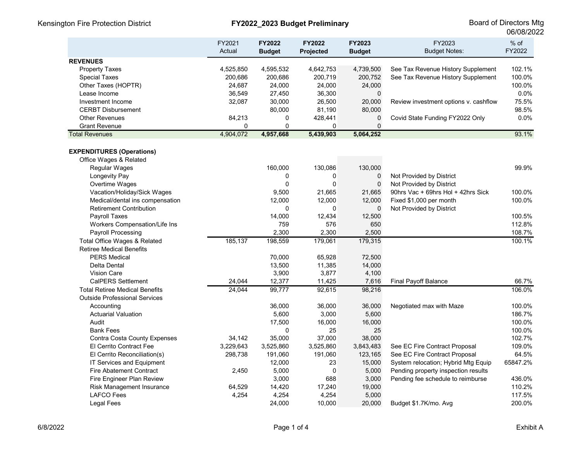|                                       | FY2021<br>Actual | FY2022<br><b>Budget</b> | <b>FY2022</b><br>Projected | FY2023<br><b>Budget</b> | FY2023<br><b>Budget Notes:</b>        | $%$ of<br>FY2022 |
|---------------------------------------|------------------|-------------------------|----------------------------|-------------------------|---------------------------------------|------------------|
| <b>REVENUES</b>                       |                  |                         |                            |                         |                                       |                  |
| <b>Property Taxes</b>                 | 4,525,850        | 4,595,532               | 4,642,753                  | 4,739,500               | See Tax Revenue History Supplement    | 102.1%           |
| <b>Special Taxes</b>                  | 200,686          | 200,686                 | 200,719                    | 200,752                 | See Tax Revenue History Supplement    | 100.0%           |
| Other Taxes (HOPTR)                   | 24,687           | 24,000                  | 24,000                     | 24,000                  |                                       | 100.0%           |
| Lease Income                          | 36,549           | 27,450                  | 36,300                     | $\mathbf 0$             |                                       | 0.0%             |
| Investment Income                     | 32,087           | 30,000                  | 26,500                     | 20,000                  | Review investment options v. cashflow | 75.5%            |
| <b>CERBT Disbursement</b>             |                  | 80,000                  | 81,190                     | 80,000                  |                                       | 98.5%            |
| <b>Other Revenues</b>                 | 84,213           | 0                       | 428,441                    | 0                       | Covid State Funding FY2022 Only       | 0.0%             |
| <b>Grant Revenue</b>                  | 0                | $\Omega$                | $\Omega$                   | $\mathbf{0}$            |                                       |                  |
| <b>Total Revenues</b>                 | 4,904,072        | 4,957,668               | 5,439,903                  | 5,064,252               |                                       | 93.1%            |
| <b>EXPENDITURES (Operations)</b>      |                  |                         |                            |                         |                                       |                  |
| Office Wages & Related                |                  |                         |                            |                         |                                       |                  |
| Regular Wages                         |                  | 160,000                 | 130,086                    | 130,000                 |                                       | 99.9%            |
| Longevity Pay                         |                  | 0                       | 0                          | $\mathbf 0$             | Not Provided by District              |                  |
| Overtime Wages                        |                  | $\Omega$                | $\mathbf 0$                | $\mathbf 0$             | Not Provided by District              |                  |
| Vacation/Holiday/Sick Wages           |                  | 9,500                   | 21,665                     | 21,665                  | 90hrs Vac + 69hrs Hol + 42hrs Sick    | 100.0%           |
| Medical/dental ins compensation       |                  | 12,000                  | 12,000                     | 12,000                  | Fixed \$1,000 per month               | 100.0%           |
| <b>Retirement Contribution</b>        |                  | $\mathbf{0}$            | $\mathbf 0$                | $\mathbf 0$             | Not Provided by District              |                  |
| Payroll Taxes                         |                  | 14,000                  | 12,434                     | 12,500                  |                                       | 100.5%           |
| Workers Compensation/Life Ins         |                  | 759                     | 576                        | 650                     |                                       | 112.8%           |
| <b>Payroll Processing</b>             |                  | 2,300                   | 2,300                      | 2,500                   |                                       | 108.7%           |
| Total Office Wages & Related          | 185,137          | 198,559                 | 179,061                    | 179,315                 |                                       | 100.1%           |
| <b>Retiree Medical Benefits</b>       |                  |                         |                            |                         |                                       |                  |
| <b>PERS Medical</b>                   |                  | 70,000                  | 65,928                     | 72,500                  |                                       |                  |
| Delta Dental                          |                  | 13,500                  | 11,385                     | 14,000                  |                                       |                  |
| <b>Vision Care</b>                    |                  | 3,900                   | 3,877                      | 4,100                   |                                       |                  |
| <b>CalPERS Settlement</b>             | 24,044           | 12,377                  | 11,425                     | 7,616                   | <b>Final Payoff Balance</b>           | 66.7%            |
| <b>Total Retiree Medical Benefits</b> | 24,044           | 99,777                  | 92,615                     | 98,216                  |                                       | 106.0%           |
| <b>Outside Professional Services</b>  |                  |                         |                            |                         |                                       |                  |
| Accounting                            |                  | 36,000                  | 36,000                     | 36,000                  | Negotiated max with Maze              | 100.0%           |
| <b>Actuarial Valuation</b>            |                  | 5,600                   | 3,000                      | 5,600                   |                                       | 186.7%           |
| Audit                                 |                  | 17,500                  | 16,000                     | 16,000                  |                                       | 100.0%           |
| <b>Bank Fees</b>                      |                  | $\mathbf{0}$            | 25                         | 25                      |                                       | 100.0%           |
| Contra Costa County Expenses          | 34,142           | 35,000                  | 37,000                     | 38,000                  |                                       | 102.7%           |
| El Cerrito Contract Fee               | 3,229,643        | 3,525,860               | 3,525,860                  | 3,843,483               | See EC Fire Contract Proposal         | 109.0%           |
| El Cerrito Reconciliation(s)          | 298,738          | 191,060                 | 191,060                    | 123,165                 | See EC Fire Contract Proposal         | 64.5%            |
| IT Services and Equipment             |                  | 12,000                  | 23                         | 15,000                  | System relocation; Hybrid Mtg Equip   | 65847.2%         |
| <b>Fire Abatement Contract</b>        | 2,450            | 5,000                   | $\mathbf 0$                | 5,000                   | Pending property inspection results   |                  |
| Fire Engineer Plan Review             |                  | 3,000                   | 688                        | 3,000                   | Pending fee schedule to reimburse     | 436.0%           |
| Risk Management Insurance             | 64,529           | 14,420                  | 17,240                     | 19,000                  |                                       | 110.2%           |
| <b>LAFCO Fees</b>                     | 4,254            | 4,254                   | 4,254                      | 5,000                   |                                       | 117.5%           |
| <b>Legal Fees</b>                     |                  | 24,000                  | 10,000                     | 20,000                  | Budget \$1.7K/mo. Avg                 | 200.0%           |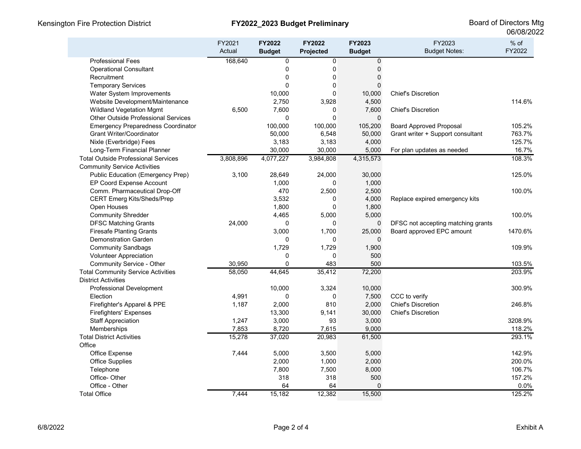| FY2022<br>Actual<br>Projected<br><b>Budget</b><br><b>Budget Notes:</b><br><b>Budget</b><br>168,640<br><b>Professional Fees</b><br>0<br>0<br>0<br>0<br>$\mathbf 0$<br>0<br><b>Operational Consultant</b><br>$\mathbf 0$<br>0<br>$\Omega$<br>Recruitment<br>$\mathbf{0}$<br>$\mathbf{0}$<br>0<br><b>Temporary Services</b> |
|--------------------------------------------------------------------------------------------------------------------------------------------------------------------------------------------------------------------------------------------------------------------------------------------------------------------------|
|                                                                                                                                                                                                                                                                                                                          |
|                                                                                                                                                                                                                                                                                                                          |
|                                                                                                                                                                                                                                                                                                                          |
|                                                                                                                                                                                                                                                                                                                          |
|                                                                                                                                                                                                                                                                                                                          |
| <b>Chief's Discretion</b><br>Water System Improvements<br>10,000<br>0<br>10,000                                                                                                                                                                                                                                          |
| Website Development/Maintenance<br>2,750<br>3,928<br>4,500<br>114.6%                                                                                                                                                                                                                                                     |
| 7,600<br><b>Wildland Vegetation Mgmt</b><br>6,500<br>0<br>7,600<br><b>Chief's Discretion</b>                                                                                                                                                                                                                             |
| <b>Other Outside Professional Services</b><br>0<br>$\Omega$<br>$\mathbf{0}$                                                                                                                                                                                                                                              |
| <b>Emergency Preparedness Coordinator</b><br>100,000<br>100,000<br>105,200<br><b>Board Approved Proposal</b><br>105.2%                                                                                                                                                                                                   |
| <b>Grant Writer/Coordinator</b><br>50,000<br>50,000<br>Grant writer + Support consultant<br>763.7%<br>6,548                                                                                                                                                                                                              |
| 3,183<br>3,183<br>4,000<br>125.7%<br>Nixle (Everbridge) Fees                                                                                                                                                                                                                                                             |
| 30,000<br>30,000<br>5,000<br>16.7%<br>Long-Term Financial Planner<br>For plan updates as needed                                                                                                                                                                                                                          |
| 3,808,896<br>4,077,227<br>4,315,573<br>108.3%<br><b>Total Outside Professional Services</b><br>3,984,808                                                                                                                                                                                                                 |
| <b>Community Service Activities</b>                                                                                                                                                                                                                                                                                      |
| <b>Public Education (Emergency Prep)</b><br>125.0%<br>3,100<br>28,649<br>24,000<br>30,000                                                                                                                                                                                                                                |
| EP Coord Expense Account<br>1,000<br>$\mathbf 0$<br>1,000                                                                                                                                                                                                                                                                |
| 470<br>2,500<br>2,500<br>Comm. Pharmaceutical Drop-Off<br>100.0%                                                                                                                                                                                                                                                         |
| <b>CERT Emerg Kits/Sheds/Prep</b><br>3,532<br>4,000<br>0<br>Replace expired emergency kits                                                                                                                                                                                                                               |
| 1,800<br>Open Houses<br>0<br>1,800                                                                                                                                                                                                                                                                                       |
| <b>Community Shredder</b><br>4,465<br>5,000<br>5,000<br>100.0%                                                                                                                                                                                                                                                           |
| 24,000<br><b>DFSC Matching Grants</b><br>0<br>$\mathbf 0$<br>0<br>DFSC not accepting matching grants                                                                                                                                                                                                                     |
| <b>Firesafe Planting Grants</b><br>3,000<br>1,700<br>25,000<br>Board approved EPC amount<br>1470.6%                                                                                                                                                                                                                      |
| <b>Demonstration Garden</b><br>0<br>$\mathbf 0$<br>0                                                                                                                                                                                                                                                                     |
| 1,729<br><b>Community Sandbags</b><br>1,729<br>1,900<br>109.9%                                                                                                                                                                                                                                                           |
| 0<br>$\Omega$<br>500<br><b>Volunteer Appreciation</b>                                                                                                                                                                                                                                                                    |
| 500<br>30,950<br>$\mathbf 0$<br>483<br>103.5%<br>Community Service - Other                                                                                                                                                                                                                                               |
| 44,645<br><b>Total Community Service Activities</b><br>58,050<br>35,412<br>72,200<br>203.9%                                                                                                                                                                                                                              |
| <b>District Activities</b>                                                                                                                                                                                                                                                                                               |
| <b>Professional Development</b><br>10,000<br>3,324<br>10,000<br>300.9%                                                                                                                                                                                                                                                   |
| 4,991<br>0<br>$\mathbf 0$<br>7,500<br>CCC to verify<br>Election                                                                                                                                                                                                                                                          |
| 2,000<br>810<br>2,000<br><b>Chief's Discretion</b><br>Firefighter's Apparel & PPE<br>1,187<br>246.8%                                                                                                                                                                                                                     |
| 13,300<br>9,141<br>30,000<br><b>Chief's Discretion</b><br><b>Firefighters' Expenses</b>                                                                                                                                                                                                                                  |
| <b>Staff Appreciation</b><br>3,000<br>93<br>3,000<br>3208.9%<br>1,247                                                                                                                                                                                                                                                    |
| 9,000<br>7,853<br>8,720<br>7,615<br>Memberships<br>118.2%                                                                                                                                                                                                                                                                |
| <b>Total District Activities</b><br>293.1%<br>15,278<br>37,020<br>20,983<br>61,500                                                                                                                                                                                                                                       |
| Office                                                                                                                                                                                                                                                                                                                   |
| Office Expense<br>7,444<br>5,000<br>3,500<br>5,000<br>142.9%                                                                                                                                                                                                                                                             |
| 2,000<br>1,000<br>200.0%<br><b>Office Supplies</b><br>2,000                                                                                                                                                                                                                                                              |
| 106.7%<br>7,800<br>7,500<br>8,000<br>Telephone                                                                                                                                                                                                                                                                           |
| 318<br>318<br>500<br>157.2%<br>Office-Other                                                                                                                                                                                                                                                                              |
| Office - Other<br>64<br>64<br>$\overline{0}$<br>0.0%                                                                                                                                                                                                                                                                     |
| 7,444<br>15,182<br>12,382<br>15,500<br>125.2%<br><b>Total Office</b>                                                                                                                                                                                                                                                     |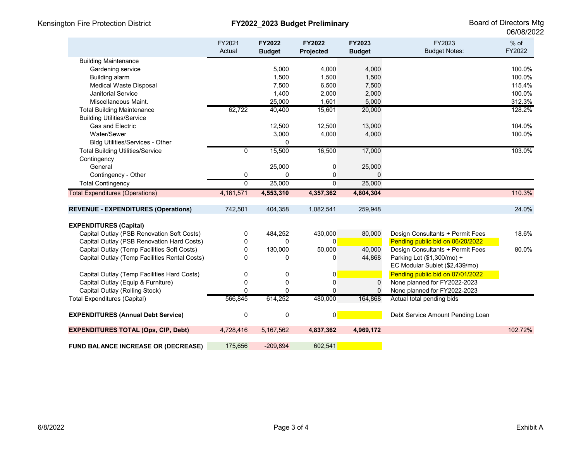|                                               | FY2021<br>Actual | <b>FY2022</b><br><b>Budget</b> | <b>FY2022</b><br>Projected | FY2023<br><b>Budget</b> | FY2023<br><b>Budget Notes:</b>   | $%$ of<br>FY2022 |
|-----------------------------------------------|------------------|--------------------------------|----------------------------|-------------------------|----------------------------------|------------------|
| <b>Building Maintenance</b>                   |                  |                                |                            |                         |                                  |                  |
| Gardening service                             |                  | 5,000                          | 4,000                      | 4,000                   |                                  | 100.0%           |
| Building alarm                                |                  | 1,500                          | 1,500                      | 1,500                   |                                  | 100.0%           |
| <b>Medical Waste Disposal</b>                 |                  | 7,500                          | 6,500                      | 7,500                   |                                  | 115.4%           |
| <b>Janitorial Service</b>                     |                  | 1,400                          | 2,000                      | 2,000                   |                                  | 100.0%           |
| Miscellaneous Maint.                          |                  | 25,000                         | 1,601                      | 5,000                   |                                  | 312.3%           |
| <b>Total Building Maintenance</b>             | 62,722           | 40,400                         | 15,601                     | 20,000                  |                                  | 128.2%           |
| <b>Building Utilities/Service</b>             |                  |                                |                            |                         |                                  |                  |
| <b>Gas and Electric</b>                       |                  | 12,500                         | 12,500                     | 13,000                  |                                  | 104.0%           |
| Water/Sewer                                   |                  | 3,000                          | 4,000                      | 4,000                   |                                  | 100.0%           |
| <b>Bldg Utilities/Services - Other</b>        |                  | $\Omega$                       |                            |                         |                                  |                  |
| <b>Total Building Utilities/Service</b>       | 0                | 15,500                         | 16,500                     | 17,000                  |                                  | 103.0%           |
| Contingency                                   |                  |                                |                            |                         |                                  |                  |
| General                                       |                  | 25,000                         | 0                          | 25,000                  |                                  |                  |
| Contingency - Other                           | 0                | 0                              | $\mathbf 0$                | $\Omega$                |                                  |                  |
| <b>Total Contingency</b>                      | $\Omega$         | 25,000                         | $\Omega$                   | 25,000                  |                                  |                  |
| <b>Total Expenditures (Operations)</b>        | 4,161,571        | 4,553,310                      | 4,357,362                  | 4,804,304               |                                  | 110.3%           |
| <b>REVENUE - EXPENDITURES (Operations)</b>    | 742,501          | 404,358                        | 1,082,541                  | 259,948                 |                                  | 24.0%            |
| <b>EXPENDITURES (Capital)</b>                 |                  |                                |                            |                         |                                  |                  |
| Capital Outlay (PSB Renovation Soft Costs)    | 0                | 484,252                        | 430,000                    | 80,000                  | Design Consultants + Permit Fees | 18.6%            |
| Capital Outlay (PSB Renovation Hard Costs)    | 0                | $\Omega$                       | $\overline{0}$             |                         | Pending public bid on 06/20/2022 |                  |
| Capital Outlay (Temp Facilities Soft Costs)   | 0                | 130,000                        | 50,000                     | 40,000                  | Design Consultants + Permit Fees | 80.0%            |
| Capital Outlay (Temp Facilities Rental Costs) | 0                | $\Omega$                       | 0                          | 44,868                  | Parking Lot (\$1,300/mo) +       |                  |
|                                               |                  |                                |                            |                         | EC Modular Sublet (\$2,439/mo)   |                  |
| Capital Outlay (Temp Facilities Hard Costs)   | 0                | 0                              | 0                          |                         | Pending public bid on 07/01/2022 |                  |
| Capital Outlay (Equip & Furniture)            | $\mathbf 0$      | 0                              | $\mathbf 0$                | $\mathbf 0$             | None planned for FY2022-2023     |                  |
| Capital Outlay (Rolling Stock)                | $\mathbf{0}$     | $\Omega$                       | $\Omega$                   | $\mathbf{0}$            | None planned for FY2022-2023     |                  |
| <b>Total Expenditures (Capital)</b>           | 566,845          | 614,252                        | 480,000                    | 164,868                 | Actual total pending bids        |                  |
| <b>EXPENDITURES (Annual Debt Service)</b>     | 0                | 0                              | $\mathbf{0}$               |                         | Debt Service Amount Pending Loan |                  |
| <b>EXPENDITURES TOTAL (Ops, CIP, Debt)</b>    | 4,728,416        | 5,167,562                      | 4,837,362                  | 4,969,172               |                                  | 102.72%          |
| <b>FUND BALANCE INCREASE OR (DECREASE)</b>    | 175,656          | $-209,894$                     | 602,541                    |                         |                                  |                  |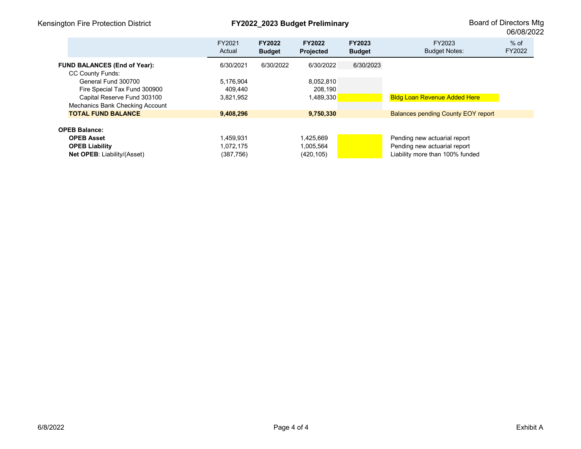| FY2021<br>Actual | <b>FY2022</b><br><b>Budget</b> | <b>FY2022</b><br><b>Projected</b> | <b>FY2023</b><br><b>Budget</b> | FY2023<br><b>Budget Notes:</b>            | $%$ of<br>FY2022 |
|------------------|--------------------------------|-----------------------------------|--------------------------------|-------------------------------------------|------------------|
| 6/30/2021        | 6/30/2022                      | 6/30/2022                         | 6/30/2023                      |                                           |                  |
| 5,176,904        |                                | 8,052,810                         |                                |                                           |                  |
| 409.440          |                                | 208,190                           |                                |                                           |                  |
| 3.821,952        |                                | 1,489,330                         |                                | <b>Bldg Loan Revenue Added Here</b>       |                  |
|                  |                                |                                   |                                |                                           |                  |
| 9,408,296        |                                | 9,750,330                         |                                | <b>Balances pending County EOY report</b> |                  |
| 1,459,931        |                                | 1,425,669                         |                                | Pending new actuarial report              |                  |
| 1,072,175        |                                | 1,005,564                         |                                | Pending new actuarial report              |                  |
| (387,756)        |                                | (420, 105)                        |                                | Liability more than 100% funded           |                  |
|                  |                                |                                   |                                |                                           |                  |